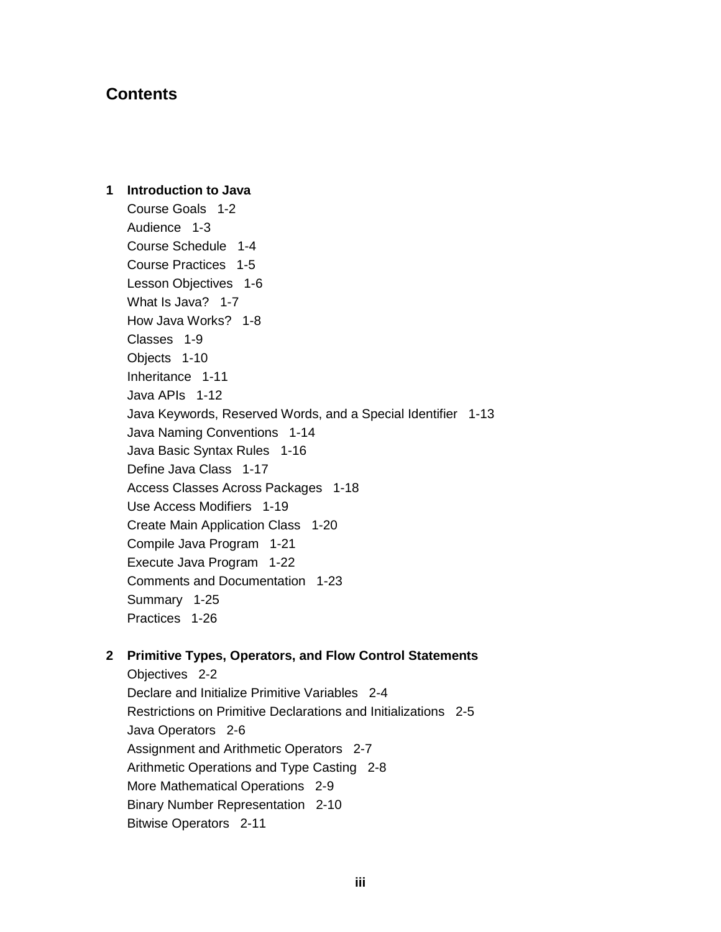# **Contents**

1 Introduction to Java Course Goals 1-2 Audience 1-3 Course Schedule 1-4 Course Practices 1-5 Lesson Objectives 1-6 What Is Java? 1-7 How Java Works? 1-8 Classes 1-9 Objects 1-10 Inheritance 1-11 Java APIs 1-12 Java Keywords, Reserved Words, and a Special Identifier 1-13 Java Naming Conventions 1-14 Java Basic Syntax Rules 1-16 Define Java Class 1-17 Access Classes Across Packages 1-18 Use Access Modifiers 1-19 Create Main Application Class 1-20 Compile Java Program 1-21 Execute Java Program 1-22 Comments and Documentation 1-23 Summary 1-25 Practices 1-26

### 2 Primitive Types, Operators, and Flow Control Statements

Objectives 2-2 Declare and Initialize Primitive Variables 2-4 Restrictions on Primitive Declarations and Initializations 2-5 Java Operators 2-6 Assignment and Arithmetic Operators 2-7 Arithmetic Operations and Type Casting 2-8 More Mathematical Operations 2-9 Binary Number Representation 2-10 **Bitwise Operators 2-11**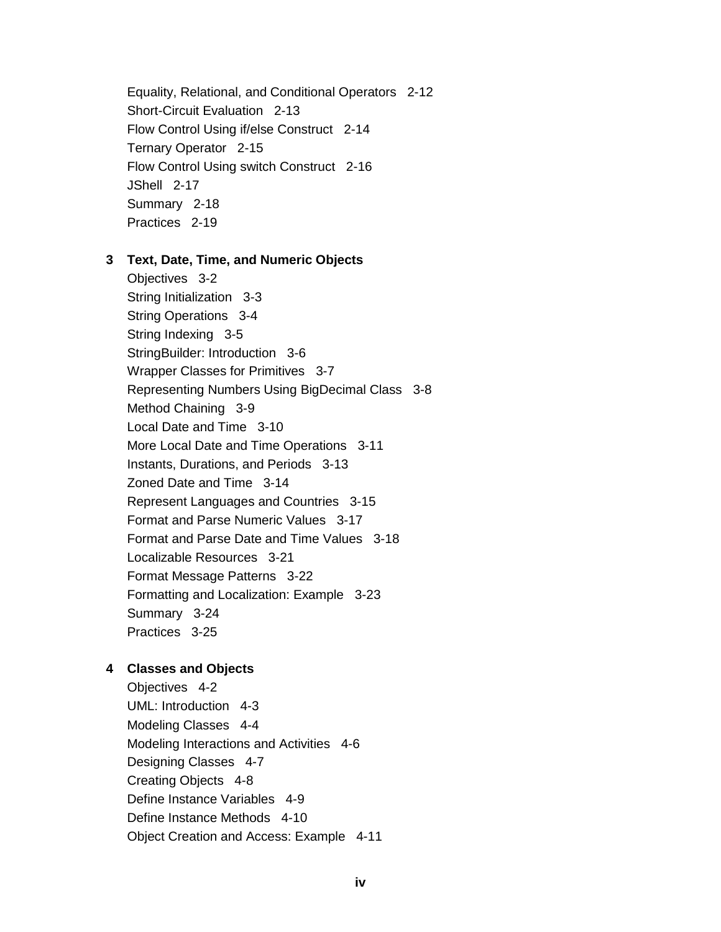Equality, Relational, and Conditional Operators 2-12 Short-Circuit Evaluation 2-13 Flow Control Using if/else Construct 2-14 Ternary Operator 2-15 Flow Control Using switch Construct 2-16 JShell 2-17 Summary 2-18 Practices 2-19

3 Text, Date, Time, and Numeric Objects

Objectives 3-2 String Initialization 3-3 String Operations 3-4 String Indexing 3-5 StringBuilder: Introduction 3-6 Wrapper Classes for Primitives 3-7 Representing Numbers Using BigDecimal Class 3-8 Method Chaining 3-9 Local Date and Time 3-10 More Local Date and Time Operations 3-11 Instants, Durations, and Periods 3-13 Zoned Date and Time 3-14 Represent Languages and Countries 3-15 Format and Parse Numeric Values 3-17 Format and Parse Date and Time Values 3-18 Localizable Resources 3-21 Format Message Patterns 3-22 Formatting and Localization: Example 3-23 Summary 3-24 Practices 3-25

### 4 Classes and Objects

Objectives 4-2 UML: Introduction 4-3 Modeling Classes 4-4 Modeling Interactions and Activities 4-6 Designing Classes 4-7 Creating Objects 4-8 Define Instance Variables 4-9 Define Instance Methods 4-10 Object Creation and Access: Example 4-11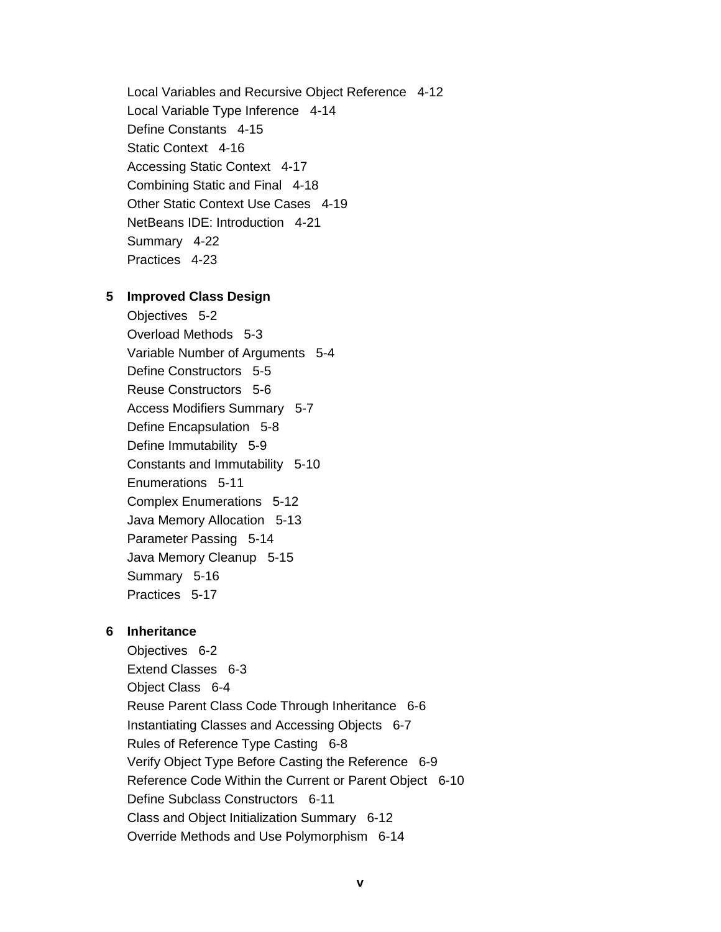Local Variables and Recursive Object Reference 4-12 Local Variable Type Inference 4-14 Define Constants 4-15 Static Context 4-16 Accessing Static Context 4-17 Combining Static and Final 4-18 Other Static Context Use Cases 4-19 NetBeans IDE: Introduction 4-21 Summary 4-22 Practices 4-23

#### 5 Improved Class Design

Objectives 5-2 Overload Methods 5-3 Variable Number of Arguments 5-4 Define Constructors 5-5 Reuse Constructors 5-6 **Access Modifiers Summary 5-7** Define Encapsulation 5-8 Define Immutability 5-9 Constants and Immutability 5-10 Enumerations 5-11 **Complex Enumerations 5-12** Java Memory Allocation 5-13 Parameter Passing 5-14 Java Memory Cleanup 5-15 Summary 5-16 Practices 5-17

### 6 Inheritance

Objectives 6-2 Extend Classes 6-3 Obiect Class 6-4 Reuse Parent Class Code Through Inheritance 6-6 Instantiating Classes and Accessing Objects 6-7 Rules of Reference Type Casting 6-8 Verify Object Type Before Casting the Reference 6-9 Reference Code Within the Current or Parent Object 6-10 Define Subclass Constructors 6-11 Class and Object Initialization Summary 6-12 Override Methods and Use Polymorphism 6-14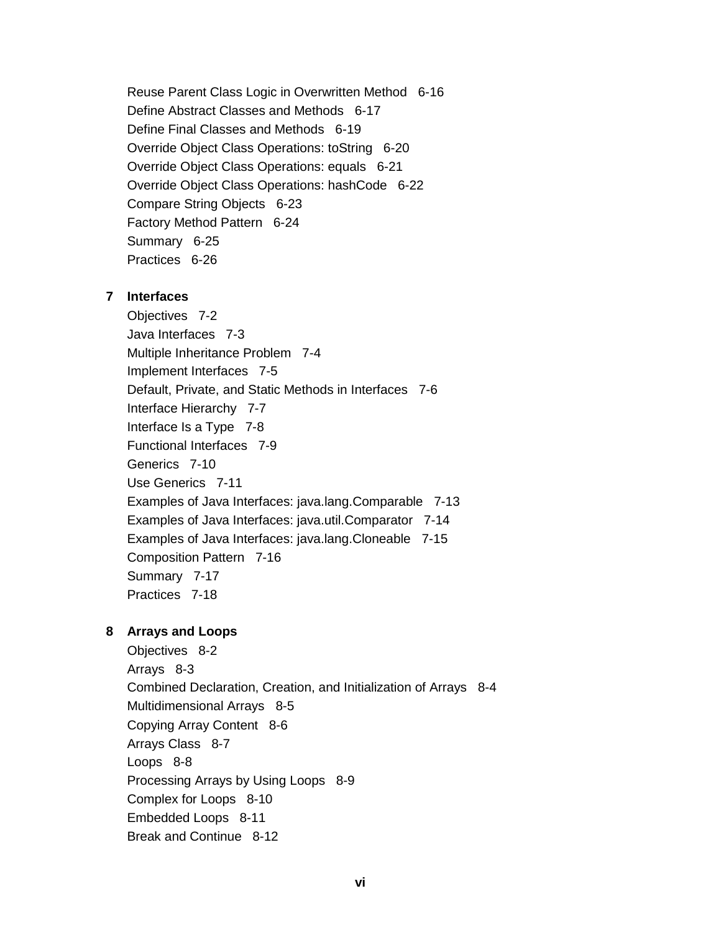Reuse Parent Class Logic in Overwritten Method 6-16 Define Abstract Classes and Methods 6-17 Define Final Classes and Methods 6-19 Override Object Class Operations: toString 6-20 Override Object Class Operations: equals 6-21 Override Object Class Operations: hashCode 6-22 Compare String Objects 6-23 Factory Method Pattern 6-24 Summary 6-25 Practices 6-26

#### 7 Interfaces

Objectives 7-2 Java Interfaces 7-3 Multiple Inheritance Problem 7-4 Implement Interfaces 7-5 Default, Private, and Static Methods in Interfaces 7-6 Interface Hierarchy 7-7 Interface Is a Type 7-8 Functional Interfaces 7-9 Generics 7-10 Use Generics 7-11 Examples of Java Interfaces: java.lang.Comparable 7-13 Examples of Java Interfaces: java.util.Comparator 7-14 Examples of Java Interfaces: java.lang. Cloneable 7-15 Composition Pattern 7-16 Summary 7-17 Practices 7-18

### 8 Arrays and Loops

Objectives 8-2 Arrays 8-3 Combined Declaration, Creation, and Initialization of Arrays 8-4 Multidimensional Arrays 8-5 Copying Array Content 8-6 Arrays Class 8-7 Loops 8-8 Processing Arrays by Using Loops 8-9 Complex for Loops 8-10 Embedded Loops 8-11 Break and Continue 8-12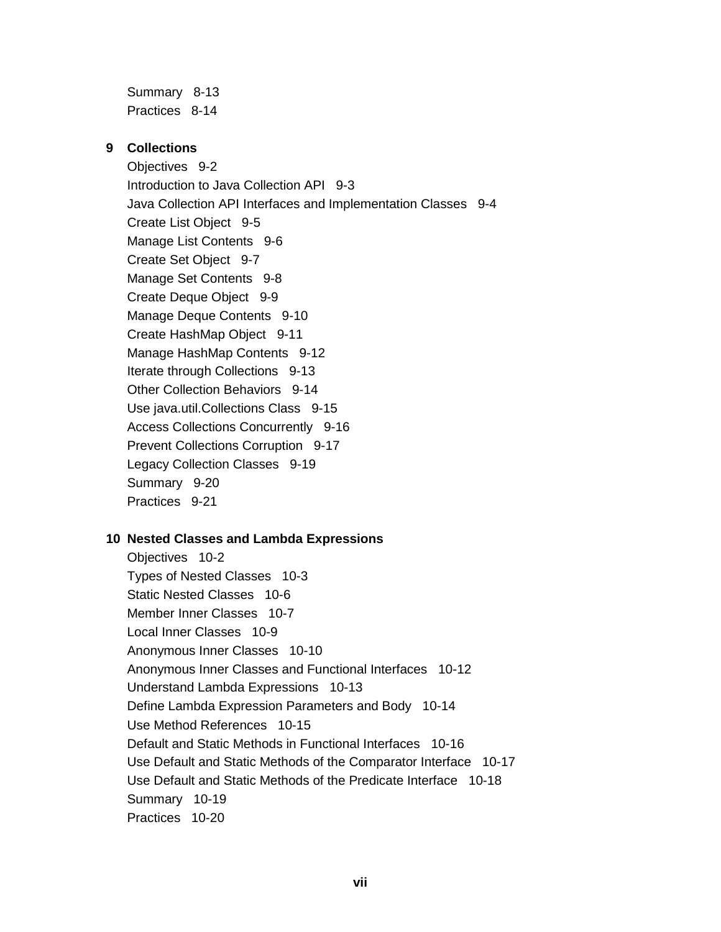Summary 8-13 Practices 8-14

## 9 Collections

Objectives 9-2 Introduction to Java Collection API 9-3 Java Collection API Interfaces and Implementation Classes 9-4 Create List Object 9-5 Manage List Contents 9-6 Create Set Object 9-7 Manage Set Contents 9-8 Create Deque Object 9-9 Manage Deque Contents 9-10 Create HashMap Object 9-11 Manage HashMap Contents 9-12 Iterate through Collections 9-13 Other Collection Behaviors 9-14 Use java.util.Collections Class 9-15 Access Collections Concurrently 9-16 Prevent Collections Corruption 9-17 Legacy Collection Classes 9-19 Summary 9-20 Practices 9-21

# 10 Nested Classes and Lambda Expressions

Objectives 10-2 Types of Nested Classes 10-3 Static Nested Classes 10-6 Member Inner Classes 10-7 Local Inner Classes 10-9 Anonymous Inner Classes 10-10 Anonymous Inner Classes and Functional Interfaces 10-12 Understand Lambda Expressions 10-13 Define Lambda Expression Parameters and Body 10-14 Use Method References 10-15 Default and Static Methods in Functional Interfaces 10-16 Use Default and Static Methods of the Comparator Interface 10-17 Use Default and Static Methods of the Predicate Interface 10-18 Summary 10-19 Practices 10-20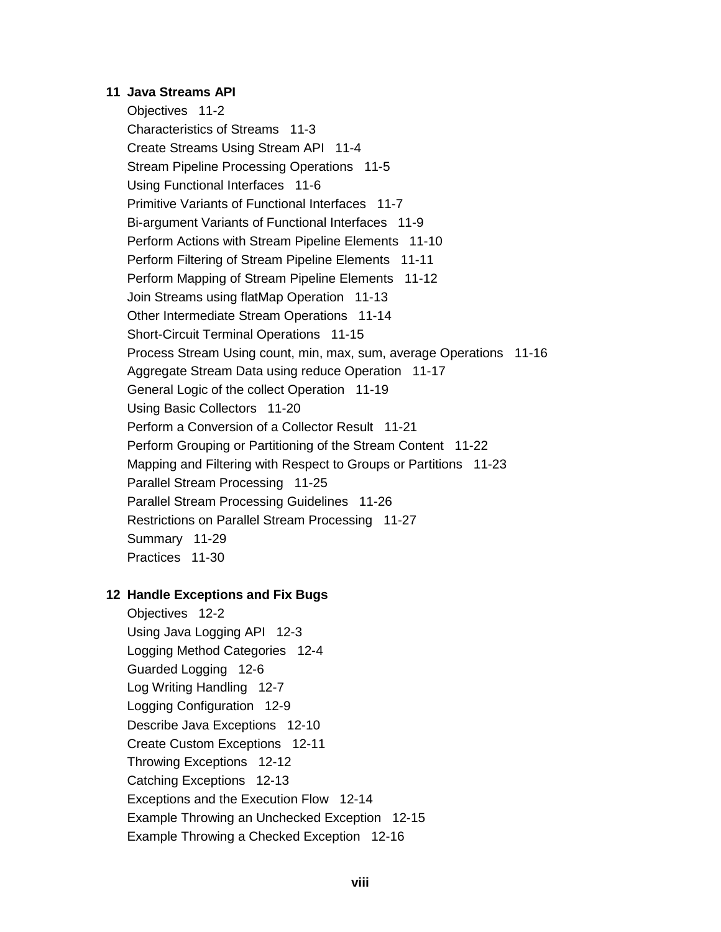#### 11 Java Streams API

Objectives 11-2 Characteristics of Streams 11-3 Create Streams Using Stream API 11-4 Stream Pipeline Processing Operations 11-5 Using Functional Interfaces 11-6 Primitive Variants of Functional Interfaces 11-7 Bi-argument Variants of Functional Interfaces 11-9 Perform Actions with Stream Pipeline Elements 11-10 Perform Filtering of Stream Pipeline Elements 11-11 Perform Mapping of Stream Pipeline Elements 11-12 Join Streams using flatMap Operation 11-13 Other Intermediate Stream Operations 11-14 Short-Circuit Terminal Operations 11-15 Process Stream Using count, min, max, sum, average Operations 11-16 Aggregate Stream Data using reduce Operation 11-17 General Logic of the collect Operation 11-19 Using Basic Collectors 11-20 Perform a Conversion of a Collector Result 11-21 Perform Grouping or Partitioning of the Stream Content 11-22 Mapping and Filtering with Respect to Groups or Partitions 11-23 Parallel Stream Processing 11-25 Parallel Stream Processing Guidelines 11-26 Restrictions on Parallel Stream Processing 11-27 Summary 11-29 Practices 11-30

### 12 Handle Exceptions and Fix Bugs

Objectives 12-2 Using Java Logging API 12-3 Logging Method Categories 12-4 Guarded Logging 12-6 Log Writing Handling 12-7 Logging Configuration 12-9 Describe Java Exceptions 12-10 Create Custom Exceptions 12-11 Throwing Exceptions 12-12 Catching Exceptions 12-13 Exceptions and the Execution Flow 12-14 Example Throwing an Unchecked Exception 12-15 Example Throwing a Checked Exception 12-16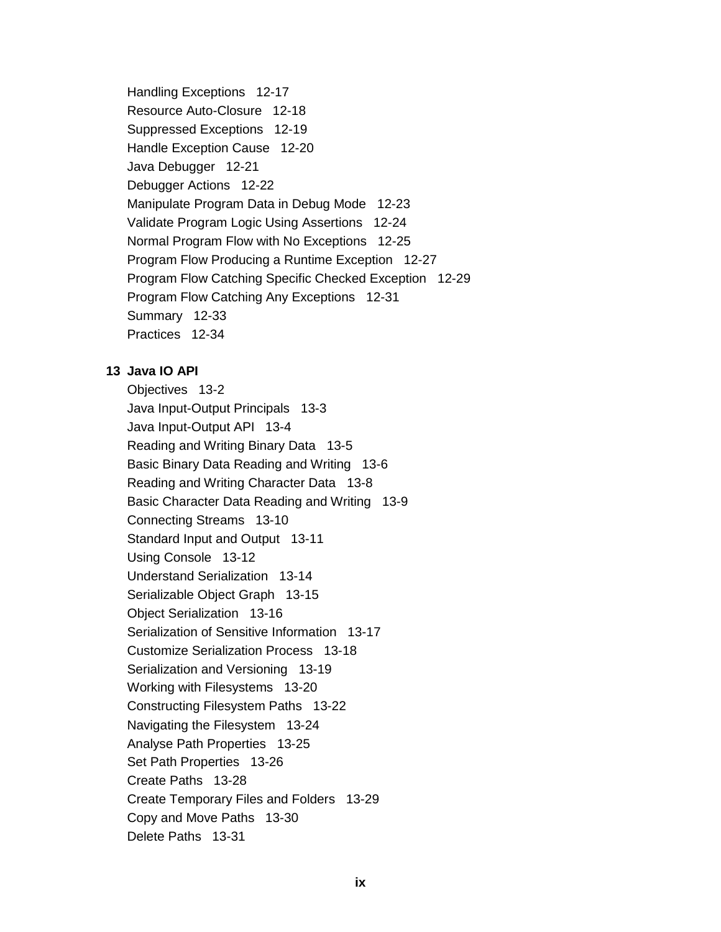Handling Exceptions 12-17 Resource Auto-Closure 12-18 Suppressed Exceptions 12-19 Handle Exception Cause 12-20 Java Debugger 12-21 Debugger Actions 12-22 Manipulate Program Data in Debug Mode 12-23 Validate Program Logic Using Assertions 12-24 Normal Program Flow with No Exceptions 12-25 Program Flow Producing a Runtime Exception 12-27 Program Flow Catching Specific Checked Exception 12-29 Program Flow Catching Any Exceptions 12-31 Summary 12-33 Practices 12-34

## 13 Java IO API

Objectives 13-2 Java Input-Output Principals 13-3 Java Input-Output API 13-4 Reading and Writing Binary Data 13-5 Basic Binary Data Reading and Writing 13-6 Reading and Writing Character Data 13-8 Basic Character Data Reading and Writing 13-9 Connecting Streams 13-10 Standard Input and Output 13-11 Using Console 13-12 Understand Serialization 13-14 Serializable Object Graph 13-15 Object Serialization 13-16 Serialization of Sensitive Information 13-17 **Customize Serialization Process 13-18** Serialization and Versioning 13-19 Working with Filesystems 13-20 Constructing Filesystem Paths 13-22 Navigating the Filesystem 13-24 Analyse Path Properties 13-25 Set Path Properties 13-26 Create Paths 13-28 Create Temporary Files and Folders 13-29 Copy and Move Paths 13-30 Delete Paths 13-31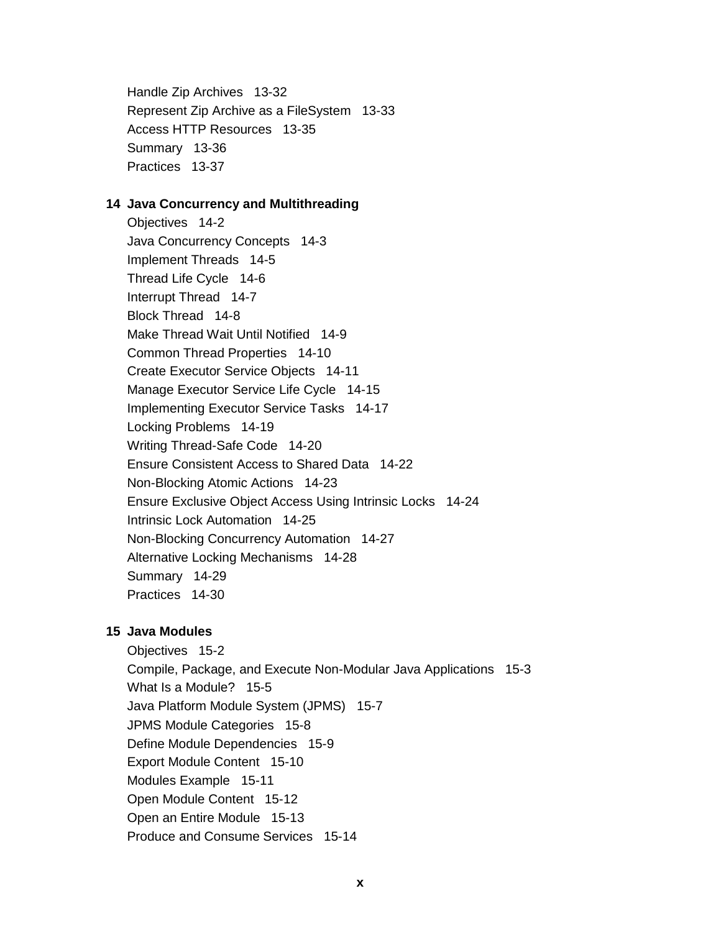Handle Zip Archives 13-32 Represent Zip Archive as a FileSystem 13-33 Access HTTP Resources 13-35 Summary 13-36 Practices 13-37

#### 14 Java Concurrency and Multithreading

Objectives 14-2 Java Concurrency Concepts 14-3 Implement Threads 14-5 Thread Life Cycle 14-6 Interrupt Thread 14-7 Block Thread 14-8 Make Thread Wait Until Notified 14-9 Common Thread Properties 14-10 Create Executor Service Objects 14-11 Manage Executor Service Life Cycle 14-15 Implementing Executor Service Tasks 14-17 Locking Problems 14-19 Writing Thread-Safe Code 14-20 Ensure Consistent Access to Shared Data 14-22 Non-Blocking Atomic Actions 14-23 Ensure Exclusive Object Access Using Intrinsic Locks 14-24 Intrinsic Lock Automation 14-25 Non-Blocking Concurrency Automation 14-27 Alternative Locking Mechanisms 14-28 Summary 14-29 Practices 14-30

### 15 Java Modules

Objectives 15-2 Compile, Package, and Execute Non-Modular Java Applications 15-3 What Is a Module? 15-5 Java Platform Module System (JPMS) 15-7 JPMS Module Categories 15-8 Define Module Dependencies 15-9 Export Module Content 15-10 Modules Example 15-11 Open Module Content 15-12 Open an Entire Module 15-13 Produce and Consume Services 15-14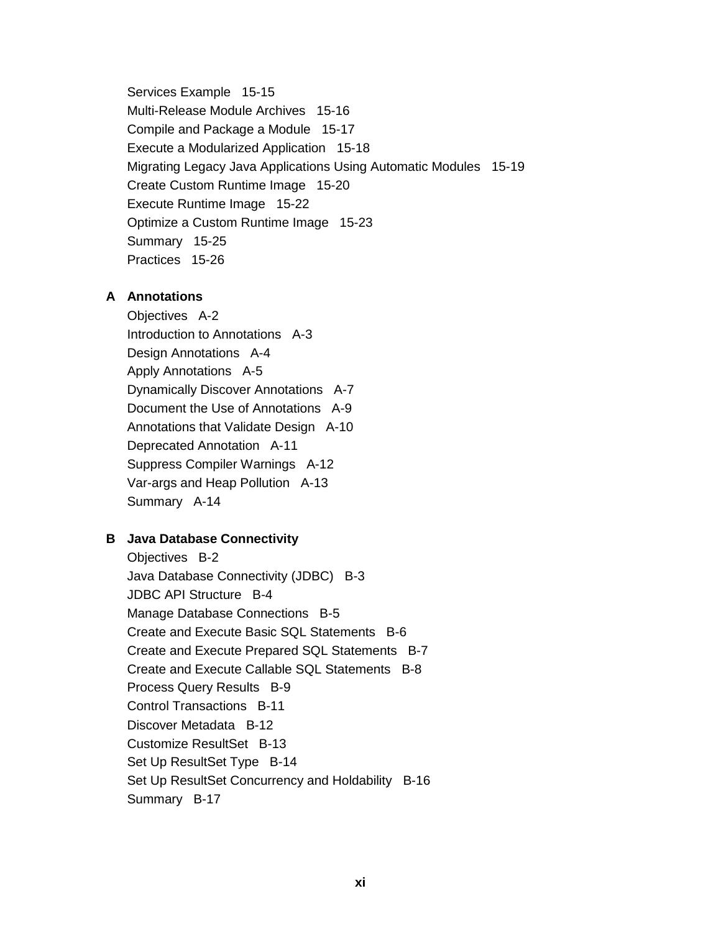Services Example 15-15 Multi-Release Module Archives 15-16 Compile and Package a Module 15-17 Execute a Modularized Application 15-18 Migrating Legacy Java Applications Using Automatic Modules 15-19 Create Custom Runtime Image 15-20 Execute Runtime Image 15-22 Optimize a Custom Runtime Image 15-23 Summary 15-25 Practices 15-26

### A Annotations

Objectives A-2 Introduction to Annotations A-3 Design Annotations A-4 Apply Annotations A-5 **Dynamically Discover Annotations A-7** Document the Use of Annotations A-9 Annotations that Validate Design A-10 Deprecated Annotation A-11 Suppress Compiler Warnings A-12 Var-args and Heap Pollution A-13 Summary A-14

# **B** Java Database Connectivity

Objectives B-2 Java Database Connectivity (JDBC) B-3 **JDBC API Structure B-4** Manage Database Connections B-5 Create and Execute Basic SQL Statements B-6 Create and Execute Prepared SQL Statements B-7 Create and Execute Callable SQL Statements B-8 Process Query Results B-9 Control Transactions B-11 Discover Metadata B-12 Customize ResultSet B-13 Set Up ResultSet Type B-14 Set Up ResultSet Concurrency and Holdability B-16 Summary B-17